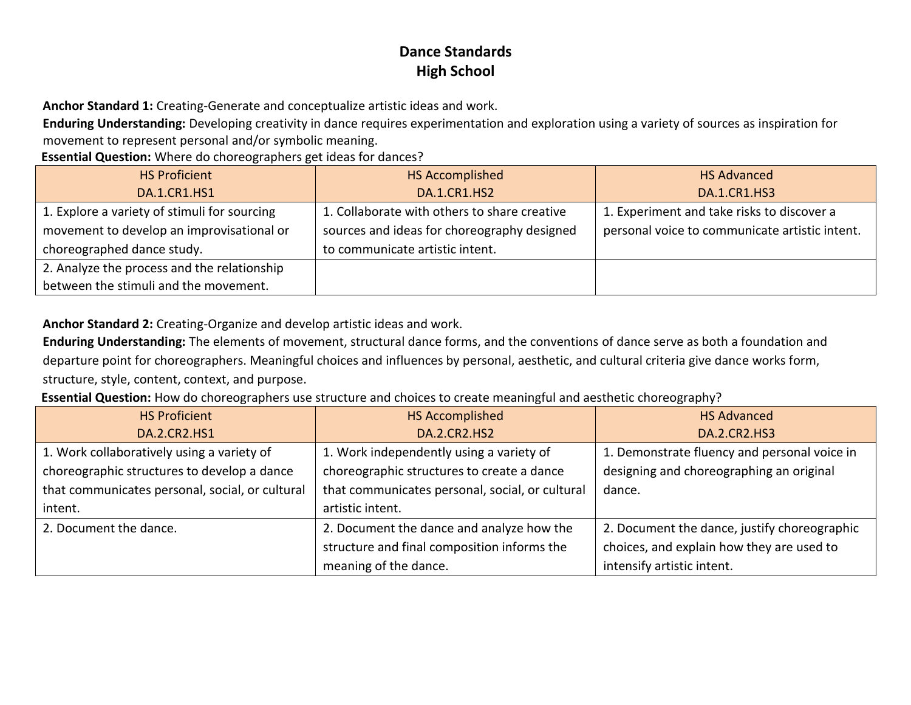**Anchor Standard 1:** Creating-Generate and conceptualize artistic ideas and work.

**Enduring Understanding:** Developing creativity in dance requires experimentation and exploration using a variety of sources as inspiration for movement to represent personal and/or symbolic meaning.

**Essential Question:** Where do choreographers get ideas for dances?

| <b>HS Proficient</b>                         | HS Accomplished                              | <b>HS Advanced</b>                             |
|----------------------------------------------|----------------------------------------------|------------------------------------------------|
| <b>DA.1.CR1.HS1</b>                          | DA.1.CR1.HS2                                 | <b>DA.1.CR1.HS3</b>                            |
| 1. Explore a variety of stimuli for sourcing | 1. Collaborate with others to share creative | 1. Experiment and take risks to discover a     |
| movement to develop an improvisational or    | sources and ideas for choreography designed  | personal voice to communicate artistic intent. |
| choreographed dance study.                   | to communicate artistic intent.              |                                                |
| 2. Analyze the process and the relationship  |                                              |                                                |
| between the stimuli and the movement.        |                                              |                                                |

**Anchor Standard 2:** Creating-Organize and develop artistic ideas and work.

**Enduring Understanding:** The elements of movement, structural dance forms, and the conventions of dance serve as both a foundation and departure point for choreographers. Meaningful choices and influences by personal, aesthetic, and cultural criteria give dance works form, structure, style, content, context, and purpose.

**Essential Question:** How do choreographers use structure and choices to create meaningful and aesthetic choreography?

| <b>HS Proficient</b>                            | <b>HS Accomplished</b>                          | <b>HS Advanced</b>                           |
|-------------------------------------------------|-------------------------------------------------|----------------------------------------------|
| DA.2.CR2.HS1                                    | <b>DA.2.CR2.HS2</b>                             | <b>DA.2.CR2.HS3</b>                          |
| 1. Work collaboratively using a variety of      | 1. Work independently using a variety of        | 1. Demonstrate fluency and personal voice in |
| choreographic structures to develop a dance     | choreographic structures to create a dance      | designing and choreographing an original     |
| that communicates personal, social, or cultural | that communicates personal, social, or cultural | dance.                                       |
| intent.                                         | artistic intent.                                |                                              |
| 2. Document the dance.                          | 2. Document the dance and analyze how the       | 2. Document the dance, justify choreographic |
|                                                 | structure and final composition informs the     | choices, and explain how they are used to    |
|                                                 | meaning of the dance.                           | intensify artistic intent.                   |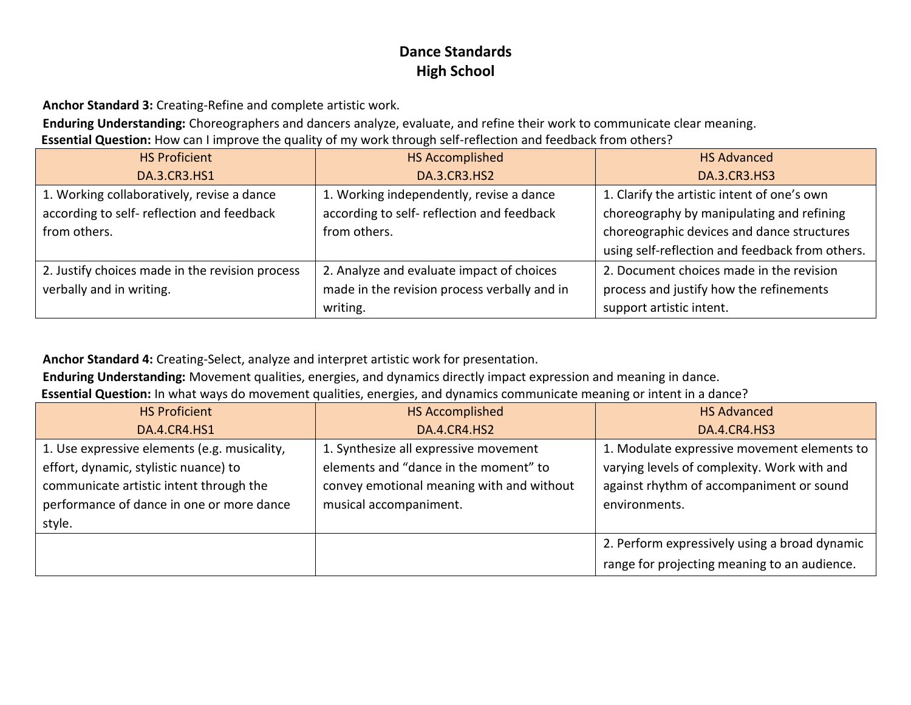**Anchor Standard 3:** Creating-Refine and complete artistic work.

**Enduring Understanding:** Choreographers and dancers analyze, evaluate, and refine their work to communicate clear meaning. **Essential Question:** How can I improve the quality of my work through self-reflection and feedback from others?

| <b>HS Proficient</b>                            | <b>HS Accomplished</b>                       | <b>HS Advanced</b>                              |
|-------------------------------------------------|----------------------------------------------|-------------------------------------------------|
| DA.3.CR3.HS1                                    | DA.3.CR3.HS2                                 | <b>DA.3.CR3.HS3</b>                             |
| 1. Working collaboratively, revise a dance      | 1. Working independently, revise a dance     | 1. Clarify the artistic intent of one's own     |
| according to self- reflection and feedback      | according to self- reflection and feedback   | choreography by manipulating and refining       |
| from others.                                    | from others.                                 | choreographic devices and dance structures      |
|                                                 |                                              | using self-reflection and feedback from others. |
| 2. Justify choices made in the revision process | 2. Analyze and evaluate impact of choices    | 2. Document choices made in the revision        |
| verbally and in writing.                        | made in the revision process verbally and in | process and justify how the refinements         |
|                                                 | writing.                                     | support artistic intent.                        |

**Anchor Standard 4:** Creating-Select, analyze and interpret artistic work for presentation.

**Enduring Understanding:** Movement qualities, energies, and dynamics directly impact expression and meaning in dance.

**Essential Question:** In what ways do movement qualities, energies, and dynamics communicate meaning or intent in a dance?

| <b>HS Proficient</b>                         | <b>HS Accomplished</b>                    | <b>HS Advanced</b>                            |
|----------------------------------------------|-------------------------------------------|-----------------------------------------------|
| <b>DA.4.CR4.HS1</b>                          | DA.4.CR4.HS2                              | <b>DA.4.CR4.HS3</b>                           |
| 1. Use expressive elements (e.g. musicality, | 1. Synthesize all expressive movement     | 1. Modulate expressive movement elements to   |
| effort, dynamic, stylistic nuance) to        | elements and "dance in the moment" to     | varying levels of complexity. Work with and   |
| communicate artistic intent through the      | convey emotional meaning with and without | against rhythm of accompaniment or sound      |
| performance of dance in one or more dance    | musical accompaniment.                    | environments.                                 |
| style.                                       |                                           |                                               |
|                                              |                                           | 2. Perform expressively using a broad dynamic |
|                                              |                                           | range for projecting meaning to an audience.  |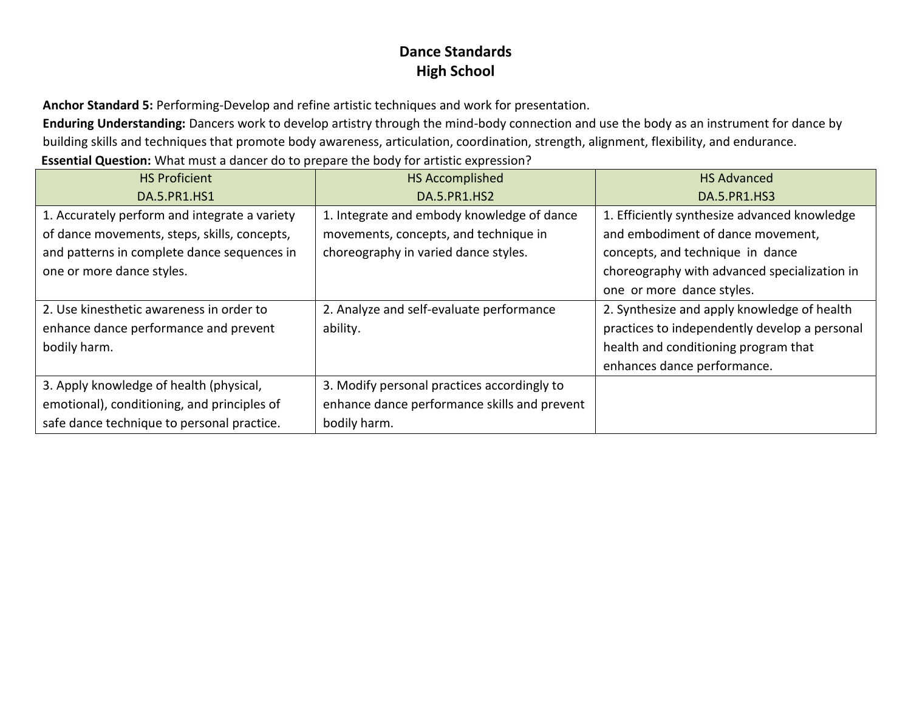**Anchor Standard 5:** Performing-Develop and refine artistic techniques and work for presentation.

**Enduring Understanding:** Dancers work to develop artistry through the mind-body connection and use the body as an instrument for dance by building skills and techniques that promote body awareness, articulation, coordination, strength, alignment, flexibility, and endurance.

**Essential Question:** What must a dancer do to prepare the body for artistic expression?

| <b>HS Proficient</b>                          | <b>HS Accomplished</b>                       | <b>HS Advanced</b>                            |
|-----------------------------------------------|----------------------------------------------|-----------------------------------------------|
| DA.5.PR1.HS1                                  | DA.5.PR1.HS2                                 | DA.5.PR1.HS3                                  |
| 1. Accurately perform and integrate a variety | 1. Integrate and embody knowledge of dance   | 1. Efficiently synthesize advanced knowledge  |
| of dance movements, steps, skills, concepts,  | movements, concepts, and technique in        | and embodiment of dance movement,             |
| and patterns in complete dance sequences in   | choreography in varied dance styles.         | concepts, and technique in dance              |
| one or more dance styles.                     |                                              | choreography with advanced specialization in  |
|                                               |                                              | one or more dance styles.                     |
| 2. Use kinesthetic awareness in order to      | 2. Analyze and self-evaluate performance     | 2. Synthesize and apply knowledge of health   |
| enhance dance performance and prevent         | ability.                                     | practices to independently develop a personal |
| bodily harm.                                  |                                              | health and conditioning program that          |
|                                               |                                              | enhances dance performance.                   |
| 3. Apply knowledge of health (physical,       | 3. Modify personal practices accordingly to  |                                               |
| emotional), conditioning, and principles of   | enhance dance performance skills and prevent |                                               |
| safe dance technique to personal practice.    | bodily harm.                                 |                                               |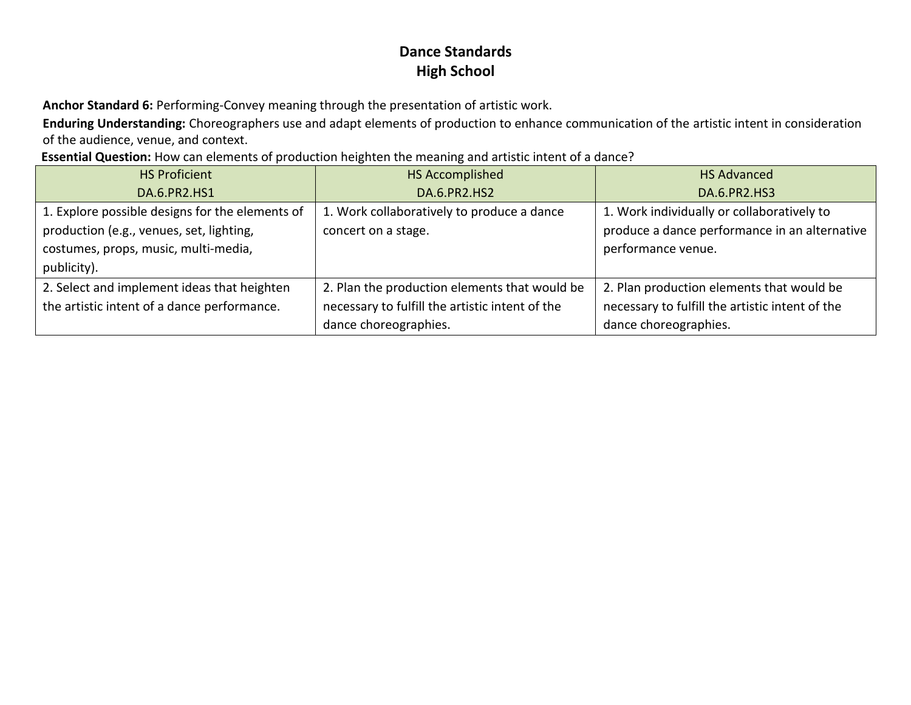**Anchor Standard 6:** Performing-Convey meaning through the presentation of artistic work.

**Enduring Understanding:** Choreographers use and adapt elements of production to enhance communication of the artistic intent in consideration of the audience, venue, and context.

**Essential Question:** How can elements of production heighten the meaning and artistic intent of a dance?

| <b>HS Proficient</b>                            | <b>HS Accomplished</b>                          | <b>HS Advanced</b>                              |
|-------------------------------------------------|-------------------------------------------------|-------------------------------------------------|
| DA.6.PR2.HS1                                    | DA.6.PR2.HS2                                    | <b>DA.6.PR2.HS3</b>                             |
| 1. Explore possible designs for the elements of | 1. Work collaboratively to produce a dance      | 1. Work individually or collaboratively to      |
| production (e.g., venues, set, lighting,        | concert on a stage.                             | produce a dance performance in an alternative   |
| costumes, props, music, multi-media,            |                                                 | performance venue.                              |
| publicity).                                     |                                                 |                                                 |
| 2. Select and implement ideas that heighten     | 2. Plan the production elements that would be   | 2. Plan production elements that would be       |
| the artistic intent of a dance performance.     | necessary to fulfill the artistic intent of the | necessary to fulfill the artistic intent of the |
|                                                 | dance choreographies.                           | dance choreographies.                           |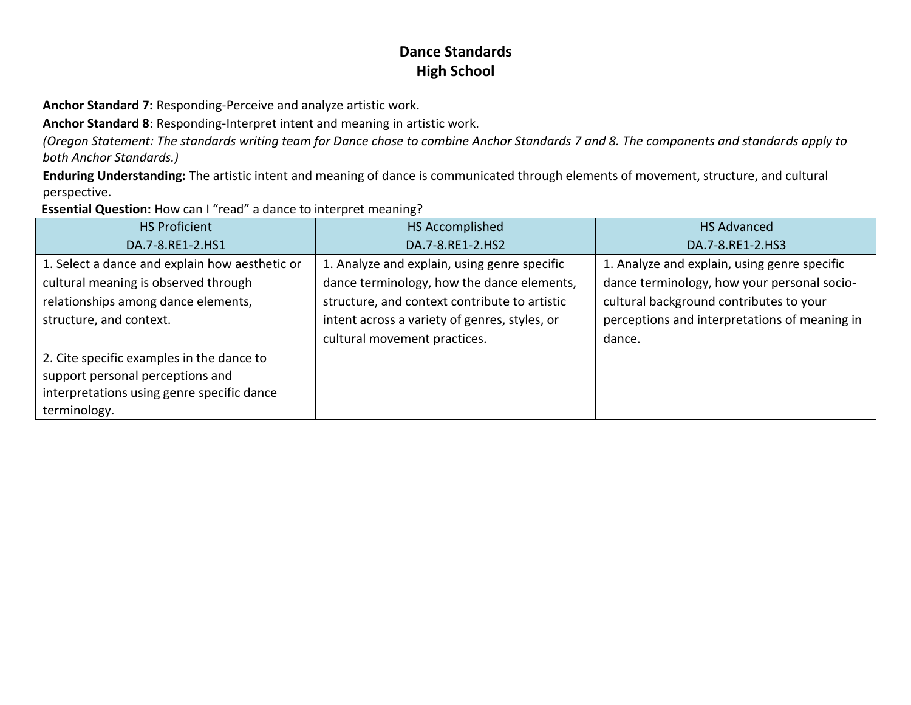**Anchor Standard 7:** Responding-Perceive and analyze artistic work.

**Anchor Standard 8**: Responding-Interpret intent and meaning in artistic work.

*(Oregon Statement: The standards writing team for Dance chose to combine Anchor Standards 7 and 8. The components and standards apply to both Anchor Standards.)*

**Enduring Understanding:** The artistic intent and meaning of dance is communicated through elements of movement, structure, and cultural perspective.

**Essential Question:** How can I "read" a dance to interpret meaning?

| <b>HS Proficient</b>                                                                                                                                     | HS Accomplished                                                                                                                                                                                                              | <b>HS Advanced</b>                                                                                                                                                                                |
|----------------------------------------------------------------------------------------------------------------------------------------------------------|------------------------------------------------------------------------------------------------------------------------------------------------------------------------------------------------------------------------------|---------------------------------------------------------------------------------------------------------------------------------------------------------------------------------------------------|
| DA.7-8.RE1-2.HS1                                                                                                                                         | DA.7-8.RE1-2.HS2                                                                                                                                                                                                             | DA.7-8.RE1-2.HS3                                                                                                                                                                                  |
| 1. Select a dance and explain how aesthetic or<br>cultural meaning is observed through<br>relationships among dance elements,<br>structure, and context. | 1. Analyze and explain, using genre specific<br>dance terminology, how the dance elements,<br>structure, and context contribute to artistic<br>intent across a variety of genres, styles, or<br>cultural movement practices. | 1. Analyze and explain, using genre specific<br>dance terminology, how your personal socio-<br>cultural background contributes to your<br>perceptions and interpretations of meaning in<br>dance. |
| 2. Cite specific examples in the dance to<br>support personal perceptions and<br>interpretations using genre specific dance<br>terminology.              |                                                                                                                                                                                                                              |                                                                                                                                                                                                   |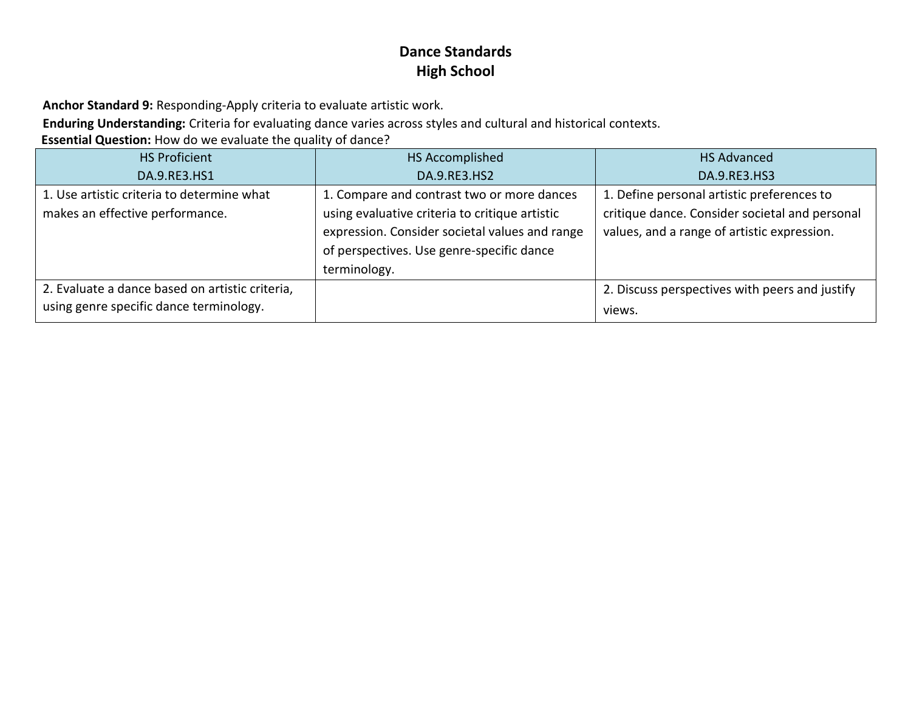**Anchor Standard 9:** Responding-Apply criteria to evaluate artistic work.

**Enduring Understanding:** Criteria for evaluating dance varies across styles and cultural and historical contexts.

**Essential Question:** How do we evaluate the quality of dance?

| <b>HS Proficient</b>                            | HS Accomplished                                | <b>HS Advanced</b>                             |
|-------------------------------------------------|------------------------------------------------|------------------------------------------------|
| DA.9.RE3.HS1                                    | DA.9.RE3.HS2                                   | DA.9.RE3.HS3                                   |
| 1. Use artistic criteria to determine what      | 1. Compare and contrast two or more dances     | 1. Define personal artistic preferences to     |
| makes an effective performance.                 | using evaluative criteria to critique artistic | critique dance. Consider societal and personal |
|                                                 | expression. Consider societal values and range | values, and a range of artistic expression.    |
|                                                 | of perspectives. Use genre-specific dance      |                                                |
|                                                 | terminology.                                   |                                                |
| 2. Evaluate a dance based on artistic criteria, |                                                | 2. Discuss perspectives with peers and justify |
| using genre specific dance terminology.         |                                                | views.                                         |